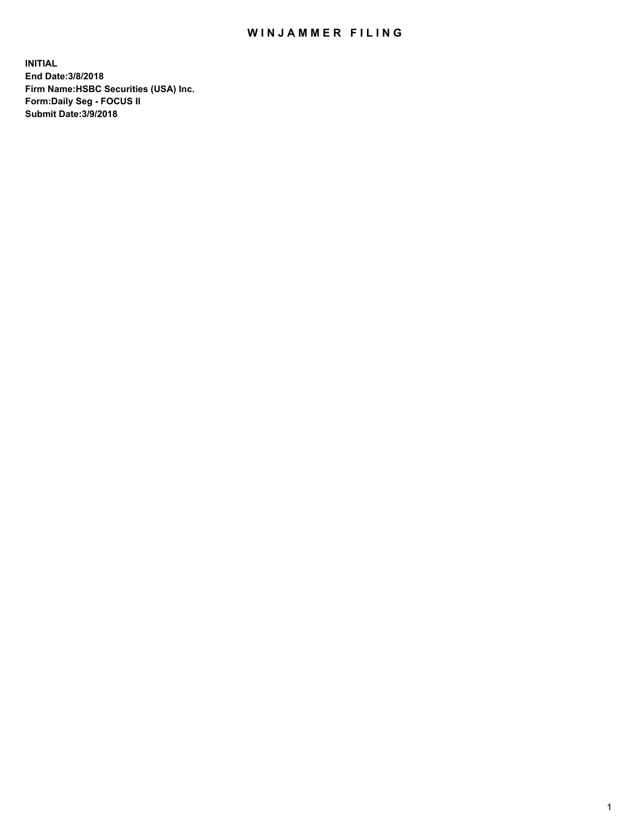## WIN JAMMER FILING

**INITIAL End Date:3/8/2018 Firm Name:HSBC Securities (USA) Inc. Form:Daily Seg - FOCUS II Submit Date:3/9/2018**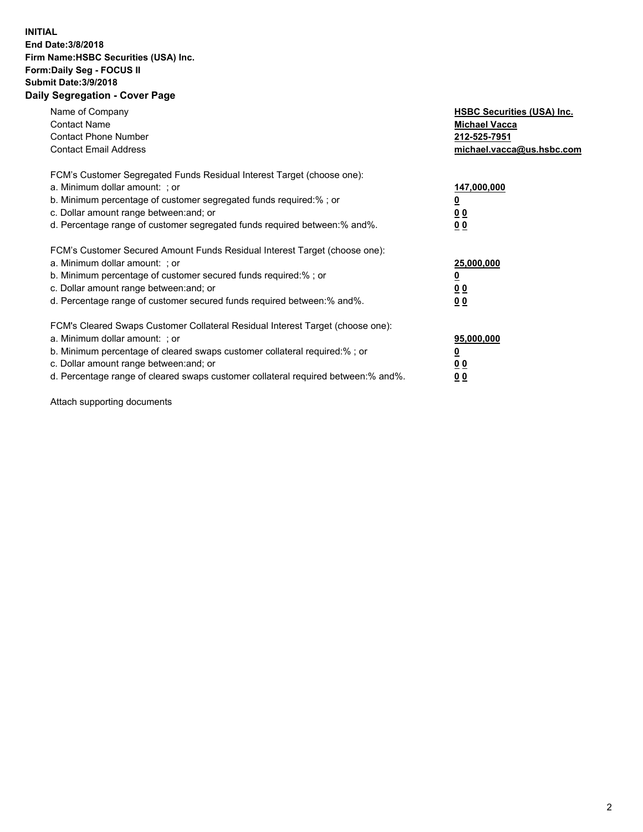## **INITIAL End Date:3/8/2018 Firm Name:HSBC Securities (USA) Inc. Form:Daily Seg - FOCUS II Submit Date:3/9/2018 Daily Segregation - Cover Page**

| Name of Company<br><b>Contact Name</b><br><b>Contact Phone Number</b><br><b>Contact Email Address</b>                                                                                                                                                                                                                          | <b>HSBC Securities (USA) Inc.</b><br><b>Michael Vacca</b><br>212-525-7951<br>michael.vacca@us.hsbc.com |
|--------------------------------------------------------------------------------------------------------------------------------------------------------------------------------------------------------------------------------------------------------------------------------------------------------------------------------|--------------------------------------------------------------------------------------------------------|
| FCM's Customer Segregated Funds Residual Interest Target (choose one):<br>a. Minimum dollar amount: ; or<br>b. Minimum percentage of customer segregated funds required:%; or<br>c. Dollar amount range between: and; or<br>d. Percentage range of customer segregated funds required between:% and%.                          | 147,000,000<br><u>0</u><br><u>00</u><br>00                                                             |
| FCM's Customer Secured Amount Funds Residual Interest Target (choose one):<br>a. Minimum dollar amount: ; or<br>b. Minimum percentage of customer secured funds required:%; or<br>c. Dollar amount range between: and; or<br>d. Percentage range of customer secured funds required between:% and%.                            | 25,000,000<br><u>0</u><br><u>00</u><br>00                                                              |
| FCM's Cleared Swaps Customer Collateral Residual Interest Target (choose one):<br>a. Minimum dollar amount: ; or<br>b. Minimum percentage of cleared swaps customer collateral required:% ; or<br>c. Dollar amount range between: and; or<br>d. Percentage range of cleared swaps customer collateral required between:% and%. | 95,000,000<br><u>0</u><br><u>00</u><br>0 <sub>0</sub>                                                  |

Attach supporting documents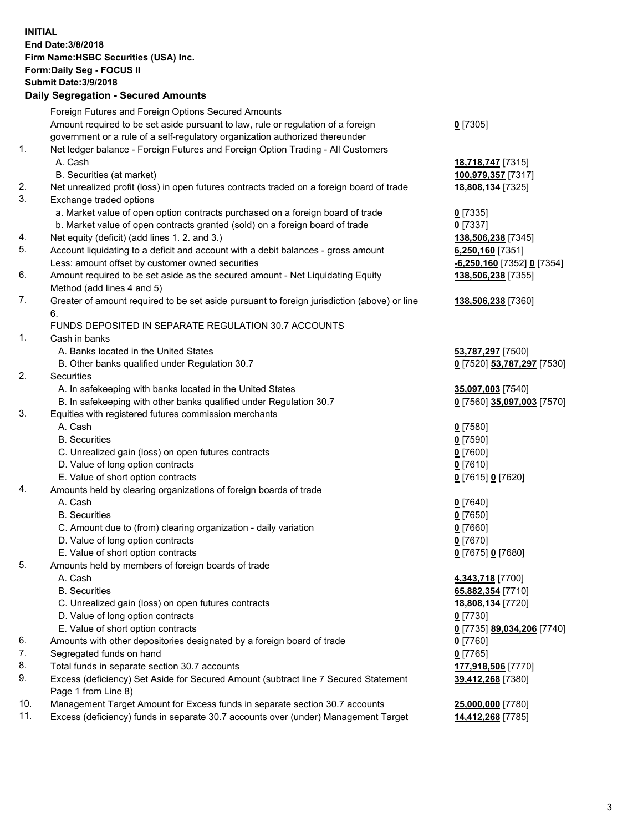**INITIAL End Date:3/8/2018 Firm Name:HSBC Securities (USA) Inc. Form:Daily Seg - FOCUS II Submit Date:3/9/2018 Daily Segregation - Secured Amounts** Foreign Futures and Foreign Options Secured Amounts Amount required to be set aside pursuant to law, rule or regulation of a foreign government or a rule of a self-regulatory organization authorized thereunder **0** [7305] 1. Net ledger balance - Foreign Futures and Foreign Option Trading - All Customers A. Cash **18,718,747** [7315] B. Securities (at market) **100,979,357** [7317] 2. Net unrealized profit (loss) in open futures contracts traded on a foreign board of trade **18,808,134** [7325] 3. Exchange traded options a. Market value of open option contracts purchased on a foreign board of trade **0** [7335] b. Market value of open contracts granted (sold) on a foreign board of trade **0** [7337] 4. Net equity (deficit) (add lines 1. 2. and 3.) **138,506,238** [7345] 5. Account liquidating to a deficit and account with a debit balances - gross amount **6,250,160** [7351] Less: amount offset by customer owned securities **-6,250,160** [7352] **0** [7354] 6. Amount required to be set aside as the secured amount - Net Liquidating Equity Method (add lines 4 and 5) **138,506,238** [7355] 7. Greater of amount required to be set aside pursuant to foreign jurisdiction (above) or line 6. **138,506,238** [7360] FUNDS DEPOSITED IN SEPARATE REGULATION 30.7 ACCOUNTS 1. Cash in banks A. Banks located in the United States **53,787,297** [7500] B. Other banks qualified under Regulation 30.7 **0** [7520] **53,787,297** [7530] 2. Securities A. In safekeeping with banks located in the United States **35,097,003** [7540] B. In safekeeping with other banks qualified under Regulation 30.7 **0** [7560] **35,097,003** [7570] 3. Equities with registered futures commission merchants A. Cash **0** [7580] B. Securities **0** [7590] C. Unrealized gain (loss) on open futures contracts **0** [7600] D. Value of long option contracts **0** [7610] E. Value of short option contracts **0** [7615] **0** [7620] 4. Amounts held by clearing organizations of foreign boards of trade A. Cash **0** [7640] B. Securities **0** [7650] C. Amount due to (from) clearing organization - daily variation **0** [7660] D. Value of long option contracts **0** [7670] E. Value of short option contracts **0** [7675] **0** [7680] 5. Amounts held by members of foreign boards of trade A. Cash **4,343,718** [7700] B. Securities **65,882,354** [7710] C. Unrealized gain (loss) on open futures contracts **18,808,134** [7720] D. Value of long option contracts **0** [7730] E. Value of short option contracts **0** [7735] **89,034,206** [7740] 6. Amounts with other depositories designated by a foreign board of trade **0** [7760] 7. Segregated funds on hand **0** [7765] 8. Total funds in separate section 30.7 accounts **177,918,506** [7770] 9. Excess (deficiency) Set Aside for Secured Amount (subtract line 7 Secured Statement Page 1 from Line 8) **39,412,268** [7380] 10. Management Target Amount for Excess funds in separate section 30.7 accounts **25,000,000** [7780] 11. Excess (deficiency) funds in separate 30.7 accounts over (under) Management Target **14,412,268** [7785]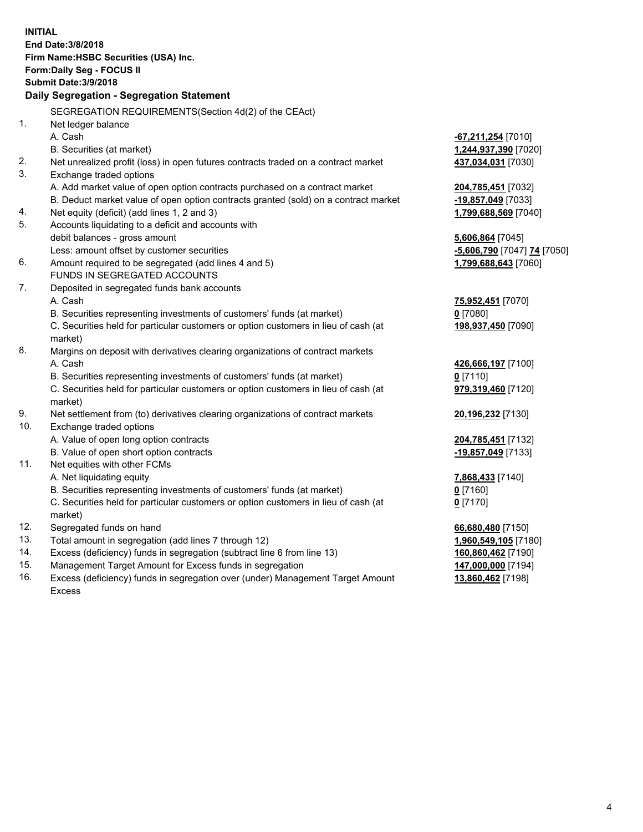| <b>INITIAL</b> | End Date: 3/8/2018<br>Firm Name: HSBC Securities (USA) Inc.<br>Form: Daily Seg - FOCUS II                                                                     |                                  |  |  |  |
|----------------|---------------------------------------------------------------------------------------------------------------------------------------------------------------|----------------------------------|--|--|--|
|                | <b>Submit Date: 3/9/2018</b>                                                                                                                                  |                                  |  |  |  |
|                | Daily Segregation - Segregation Statement                                                                                                                     |                                  |  |  |  |
|                | SEGREGATION REQUIREMENTS(Section 4d(2) of the CEAct)                                                                                                          |                                  |  |  |  |
| 1.             | Net ledger balance                                                                                                                                            |                                  |  |  |  |
|                | A. Cash                                                                                                                                                       | <u>-67,211,254</u> [7010]        |  |  |  |
|                | B. Securities (at market)                                                                                                                                     | 1,244,937,390 [7020]             |  |  |  |
| 2.             | Net unrealized profit (loss) in open futures contracts traded on a contract market                                                                            | 437,034,031 [7030]               |  |  |  |
| 3.             | Exchange traded options                                                                                                                                       |                                  |  |  |  |
|                | A. Add market value of open option contracts purchased on a contract market                                                                                   | 204,785,451 [7032]               |  |  |  |
|                | B. Deduct market value of open option contracts granted (sold) on a contract market                                                                           | -19,857,049 [7033]               |  |  |  |
| 4.             | Net equity (deficit) (add lines 1, 2 and 3)                                                                                                                   | 1,799,688,569 [7040]             |  |  |  |
| 5.             | Accounts liquidating to a deficit and accounts with                                                                                                           |                                  |  |  |  |
|                | debit balances - gross amount                                                                                                                                 | 5,606,864 [7045]                 |  |  |  |
|                | Less: amount offset by customer securities                                                                                                                    | -5,606,790 [7047] 74 [7050]      |  |  |  |
| 6.             | Amount required to be segregated (add lines 4 and 5)                                                                                                          | 1,799,688,643 [7060]             |  |  |  |
|                | FUNDS IN SEGREGATED ACCOUNTS                                                                                                                                  |                                  |  |  |  |
| 7.             | Deposited in segregated funds bank accounts                                                                                                                   |                                  |  |  |  |
|                | A. Cash                                                                                                                                                       | 75,952,451 [7070]                |  |  |  |
|                | B. Securities representing investments of customers' funds (at market)                                                                                        | $0$ [7080]                       |  |  |  |
|                | C. Securities held for particular customers or option customers in lieu of cash (at<br>market)                                                                | 198,937,450 [7090]               |  |  |  |
| 8.             |                                                                                                                                                               |                                  |  |  |  |
|                | Margins on deposit with derivatives clearing organizations of contract markets<br>A. Cash                                                                     |                                  |  |  |  |
|                |                                                                                                                                                               | 426,666,197 [7100]<br>$0$ [7110] |  |  |  |
|                | B. Securities representing investments of customers' funds (at market)<br>C. Securities held for particular customers or option customers in lieu of cash (at | 979,319,460 [7120]               |  |  |  |
|                | market)                                                                                                                                                       |                                  |  |  |  |
| 9.             | Net settlement from (to) derivatives clearing organizations of contract markets                                                                               | 20,196,232 [7130]                |  |  |  |
| 10.            | Exchange traded options                                                                                                                                       |                                  |  |  |  |
|                | A. Value of open long option contracts                                                                                                                        | 204,785,451 [7132]               |  |  |  |
|                | B. Value of open short option contracts                                                                                                                       | -19,857,049 [7133]               |  |  |  |
| 11.            | Net equities with other FCMs                                                                                                                                  |                                  |  |  |  |
|                | A. Net liquidating equity                                                                                                                                     | 7,868,433 [7140]                 |  |  |  |
|                | B. Securities representing investments of customers' funds (at market)                                                                                        | $0$ [7160]                       |  |  |  |
|                | C. Securities held for particular customers or option customers in lieu of cash (at                                                                           | $0$ [7170]                       |  |  |  |
|                | market)                                                                                                                                                       |                                  |  |  |  |
| 12.            | Segregated funds on hand                                                                                                                                      | 66,680,480 [7150]                |  |  |  |
| 13.            | Total amount in segregation (add lines 7 through 12)                                                                                                          | 1,960,549,105 [7180]             |  |  |  |
| 14.            | Excess (deficiency) funds in segregation (subtract line 6 from line 13)                                                                                       | 160,860,462 [7190]               |  |  |  |
| 15.            | Management Target Amount for Excess funds in segregation                                                                                                      | 147,000,000 [7194]               |  |  |  |
| 16.            | Excess (deficiency) funds in segregation over (under) Management Target Amount                                                                                | 13,860,462 [7198]                |  |  |  |

16. Excess (deficiency) funds in segregation over (under) Management Target Amount Excess